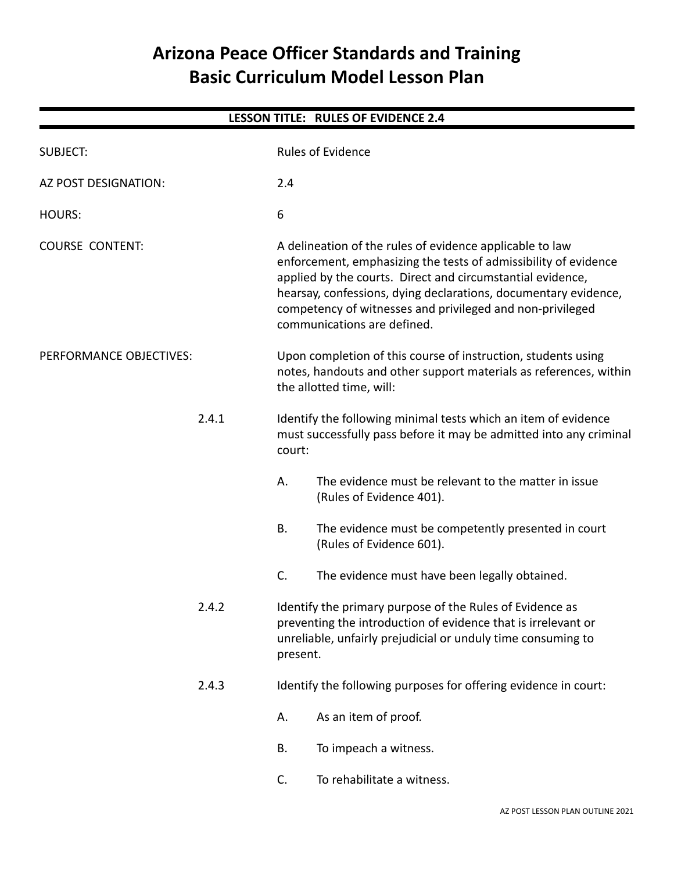# **Arizona Peace Officer Standards and Training Basic Curriculum Model Lesson Plan**

| <b>LESSON TITLE: RULES OF EVIDENCE 2.4</b> |       |                                                                                                                                                                                                                                                                                                                                                          |                                                                                                                                                                                           |  |  |  |  |
|--------------------------------------------|-------|----------------------------------------------------------------------------------------------------------------------------------------------------------------------------------------------------------------------------------------------------------------------------------------------------------------------------------------------------------|-------------------------------------------------------------------------------------------------------------------------------------------------------------------------------------------|--|--|--|--|
| <b>SUBJECT:</b>                            |       |                                                                                                                                                                                                                                                                                                                                                          | <b>Rules of Evidence</b>                                                                                                                                                                  |  |  |  |  |
| AZ POST DESIGNATION:                       |       | 2.4                                                                                                                                                                                                                                                                                                                                                      |                                                                                                                                                                                           |  |  |  |  |
| <b>HOURS:</b>                              |       | 6                                                                                                                                                                                                                                                                                                                                                        |                                                                                                                                                                                           |  |  |  |  |
| <b>COURSE CONTENT:</b>                     |       | A delineation of the rules of evidence applicable to law<br>enforcement, emphasizing the tests of admissibility of evidence<br>applied by the courts. Direct and circumstantial evidence,<br>hearsay, confessions, dying declarations, documentary evidence,<br>competency of witnesses and privileged and non-privileged<br>communications are defined. |                                                                                                                                                                                           |  |  |  |  |
| PERFORMANCE OBJECTIVES:                    |       | Upon completion of this course of instruction, students using<br>notes, handouts and other support materials as references, within<br>the allotted time, will:                                                                                                                                                                                           |                                                                                                                                                                                           |  |  |  |  |
|                                            | 2.4.1 | Identify the following minimal tests which an item of evidence<br>must successfully pass before it may be admitted into any criminal<br>court:                                                                                                                                                                                                           |                                                                                                                                                                                           |  |  |  |  |
|                                            |       | Α.                                                                                                                                                                                                                                                                                                                                                       | The evidence must be relevant to the matter in issue<br>(Rules of Evidence 401).                                                                                                          |  |  |  |  |
|                                            |       | <b>B.</b>                                                                                                                                                                                                                                                                                                                                                | The evidence must be competently presented in court<br>(Rules of Evidence 601).                                                                                                           |  |  |  |  |
|                                            |       | C.                                                                                                                                                                                                                                                                                                                                                       | The evidence must have been legally obtained.                                                                                                                                             |  |  |  |  |
| 2.4.2<br>2.4.3                             |       | present.                                                                                                                                                                                                                                                                                                                                                 | Identify the primary purpose of the Rules of Evidence as<br>preventing the introduction of evidence that is irrelevant or<br>unreliable, unfairly prejudicial or unduly time consuming to |  |  |  |  |
|                                            |       |                                                                                                                                                                                                                                                                                                                                                          | Identify the following purposes for offering evidence in court:                                                                                                                           |  |  |  |  |
|                                            |       | А.                                                                                                                                                                                                                                                                                                                                                       | As an item of proof.                                                                                                                                                                      |  |  |  |  |
|                                            |       | В.                                                                                                                                                                                                                                                                                                                                                       | To impeach a witness.                                                                                                                                                                     |  |  |  |  |
|                                            |       | C.                                                                                                                                                                                                                                                                                                                                                       | To rehabilitate a witness.                                                                                                                                                                |  |  |  |  |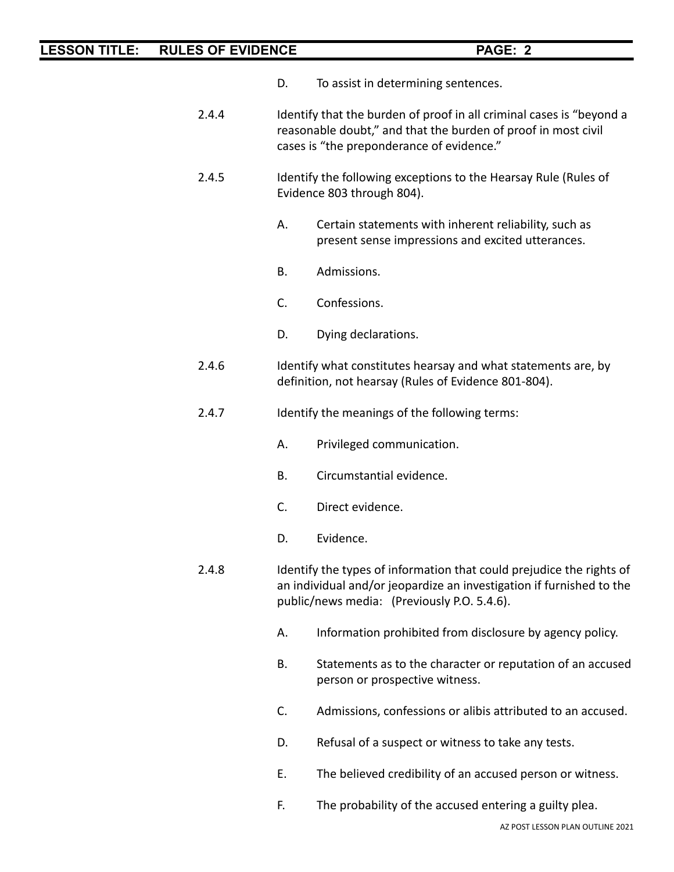- D. To assist in determining sentences.
- 2.4.4 Identify that the burden of proof in all criminal cases is "beyond a reasonable doubt," and that the burden of proof in most civil cases is "the preponderance of evidence."
- 2.4.5 Identify the following exceptions to the Hearsay Rule (Rules of Evidence 803 through 804).
	- A. Certain statements with inherent reliability, such as present sense impressions and excited utterances.
	- B. Admissions.
	- C. Confessions.
	- D. Dying declarations.
- 2.4.6 Identify what constitutes hearsay and what statements are, by definition, not hearsay (Rules of Evidence 801-804).
- 2.4.7 Identify the meanings of the following terms:
	- A. Privileged communication.
	- B. Circumstantial evidence.
	- C. Direct evidence.
	- D. Evidence.
- 2.4.8 Identify the types of information that could prejudice the rights of an individual and/or jeopardize an investigation if furnished to the public/news media: (Previously P.O. 5.4.6).
	- A. Information prohibited from disclosure by agency policy.
	- B. Statements as to the character or reputation of an accused person or prospective witness.
	- C. Admissions, confessions or alibis attributed to an accused.
	- D. Refusal of a suspect or witness to take any tests.
	- E. The believed credibility of an accused person or witness.
	- F. The probability of the accused entering a guilty plea.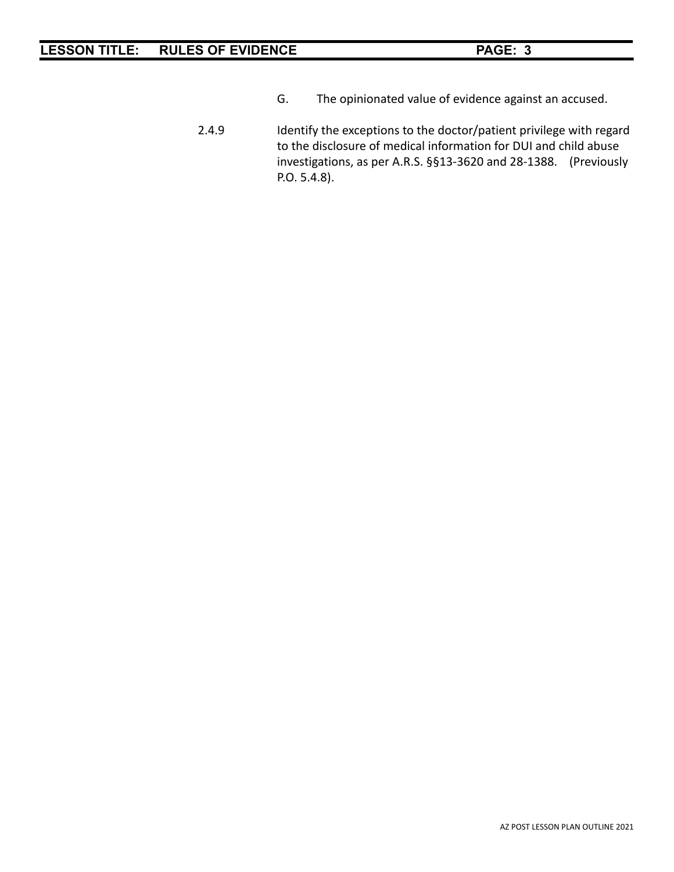- G. The opinionated value of evidence against an accused.
- 2.4.9 Identify the exceptions to the doctor/patient privilege with regard to the disclosure of medical information for DUI and child abuse investigations, as per A.R.S. §§13-3620 and 28-1388. (Previously P.O. 5.4.8).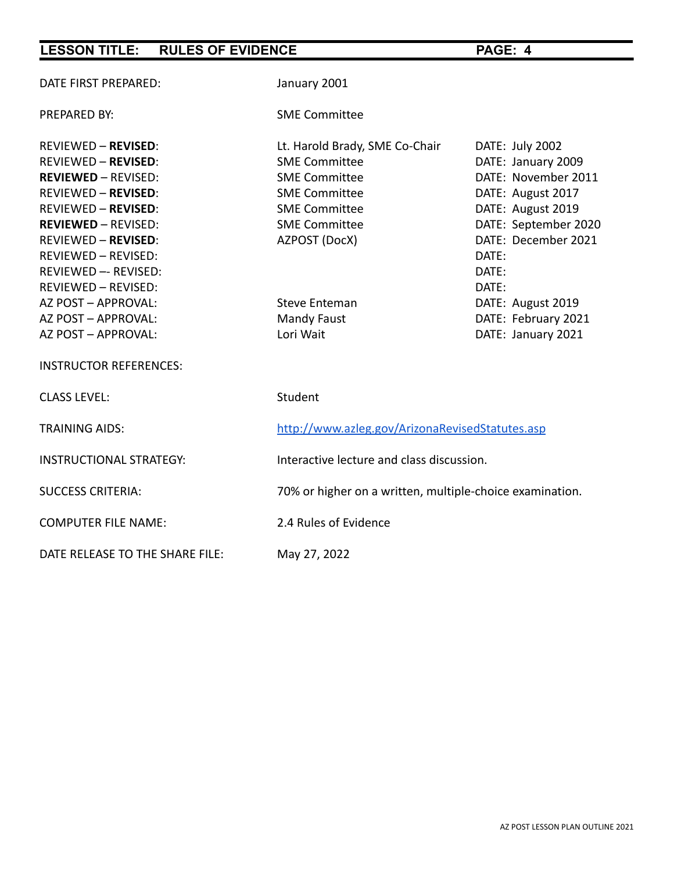| DATE FIRST PREPARED:            | January 2001                                             |                      |  |  |
|---------------------------------|----------------------------------------------------------|----------------------|--|--|
| PREPARED BY:                    | <b>SME Committee</b>                                     |                      |  |  |
| <b>REVIEWED - REVISED:</b>      | Lt. Harold Brady, SME Co-Chair                           | DATE: July 2002      |  |  |
| <b>REVIEWED - REVISED:</b>      | <b>SME Committee</b>                                     | DATE: January 2009   |  |  |
| <b>REVIEWED - REVISED:</b>      | <b>SME Committee</b>                                     | DATE: November 2011  |  |  |
| <b>REVIEWED - REVISED:</b>      | <b>SME Committee</b>                                     | DATE: August 2017    |  |  |
| <b>REVIEWED - REVISED:</b>      | <b>SME Committee</b>                                     | DATE: August 2019    |  |  |
| <b>REVIEWED - REVISED:</b>      | <b>SME Committee</b>                                     | DATE: September 2020 |  |  |
| <b>REVIEWED - REVISED:</b>      | AZPOST (DocX)                                            | DATE: December 2021  |  |  |
| REVIEWED - REVISED:             |                                                          | DATE:                |  |  |
| REVIEWED -- REVISED:            |                                                          | DATE:                |  |  |
| REVIEWED - REVISED:             |                                                          | DATE:                |  |  |
| AZ POST - APPROVAL:             | <b>Steve Enteman</b>                                     | DATE: August 2019    |  |  |
| AZ POST - APPROVAL:             | Mandy Faust                                              | DATE: February 2021  |  |  |
| AZ POST - APPROVAL:             | Lori Wait                                                | DATE: January 2021   |  |  |
| <b>INSTRUCTOR REFERENCES:</b>   |                                                          |                      |  |  |
| <b>CLASS LEVEL:</b>             | Student                                                  |                      |  |  |
| <b>TRAINING AIDS:</b>           | http://www.azleg.gov/ArizonaRevisedStatutes.asp          |                      |  |  |
| <b>INSTRUCTIONAL STRATEGY:</b>  | Interactive lecture and class discussion.                |                      |  |  |
| <b>SUCCESS CRITERIA:</b>        | 70% or higher on a written, multiple-choice examination. |                      |  |  |
| <b>COMPUTER FILE NAME:</b>      | 2.4 Rules of Evidence                                    |                      |  |  |
| DATE RELEASE TO THE SHARE FILE: | May 27, 2022                                             |                      |  |  |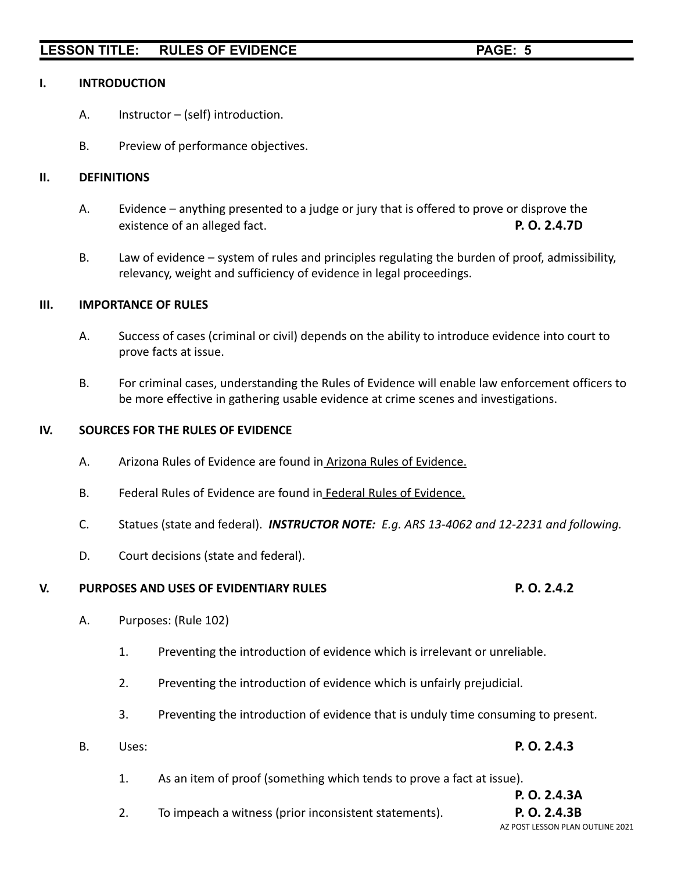#### **I. INTRODUCTION**

- A. Instructor (self) introduction.
- B. Preview of performance objectives.

### **II. DEFINITIONS**

- A. Evidence anything presented to a judge or jury that is offered to prove or disprove the existence of an alleged fact. **P. O. 2.4.7D**
- B. Law of evidence system of rules and principles regulating the burden of proof, admissibility, relevancy, weight and sufficiency of evidence in legal proceedings.

#### **III. IMPORTANCE OF RULES**

- A. Success of cases (criminal or civil) depends on the ability to introduce evidence into court to prove facts at issue.
- B. For criminal cases, understanding the Rules of Evidence will enable law enforcement officers to be more effective in gathering usable evidence at crime scenes and investigations.

#### **IV. SOURCES FOR THE RULES OF EVIDENCE**

- A. Arizona Rules of Evidence are found in Arizona Rules of Evidence.
- B. Federal Rules of Evidence are found in Federal Rules of Evidence.
- C. Statues (state and federal). *INSTRUCTOR NOTE: E.g. ARS 13-4062 and 12-2231 and following.*
- D. Court decisions (state and federal).

### **V. PURPOSES AND USES OF EVIDENTIARY RULES P. O. 2.4.2**

#### A. Purposes: (Rule 102)

- 1. Preventing the introduction of evidence which is irrelevant or unreliable.
- 2. Preventing the introduction of evidence which is unfairly prejudicial.
- 3. Preventing the introduction of evidence that is unduly time consuming to present.
- B. Uses: **P. O. 2.4.3**
	- 1. As an item of proof (something which tends to prove a fact at issue).

# **P. O. 2.4.3A**

2. To impeach a witness (prior inconsistent statements). **P. O. 2.4.3B**

# AZ POST LESSON PLAN OUTLINE 2021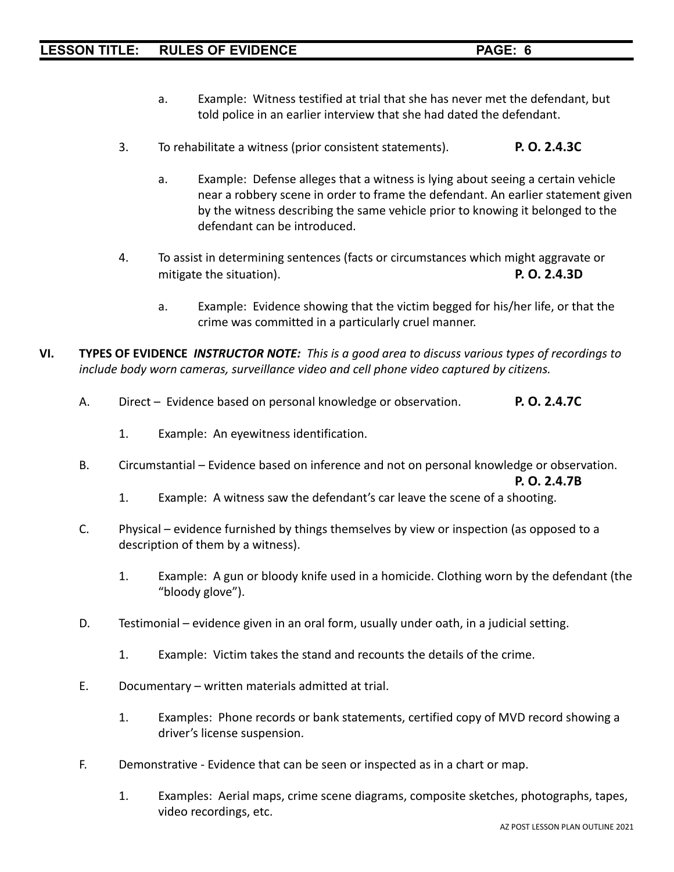- a. Example: Witness testified at trial that she has never met the defendant, but told police in an earlier interview that she had dated the defendant.
- 3. To rehabilitate a witness (prior consistent statements). **P. O. 2.4.3C**
	- a. Example: Defense alleges that a witness is lying about seeing a certain vehicle near a robbery scene in order to frame the defendant. An earlier statement given by the witness describing the same vehicle prior to knowing it belonged to the defendant can be introduced.
- 4. To assist in determining sentences (facts or circumstances which might aggravate or mitigate the situation). **P. O. 2.4.3D**
	- a. Example: Evidence showing that the victim begged for his/her life, or that the crime was committed in a particularly cruel manner.
- **VI. TYPES OF EVIDENCE** *INSTRUCTOR NOTE: This is a good area to discuss various types of recordings to include body worn cameras, surveillance video and cell phone video captured by citizens.*
	- A. Direct Evidence based on personal knowledge or observation. **P. O. 2.4.7C**
		- 1. Example: An eyewitness identification.
	- B. Circumstantial Evidence based on inference and not on personal knowledge or observation.

**P. O. 2.4.7B**

- 1. Example: A witness saw the defendant's car leave the scene of a shooting.
- C. Physical evidence furnished by things themselves by view or inspection (as opposed to a description of them by a witness).
	- 1. Example: A gun or bloody knife used in a homicide. Clothing worn by the defendant (the "bloody glove").
- D. Testimonial evidence given in an oral form, usually under oath, in a judicial setting.
	- 1. Example: Victim takes the stand and recounts the details of the crime.
- E. Documentary written materials admitted at trial.
	- 1. Examples: Phone records or bank statements, certified copy of MVD record showing a driver's license suspension.
- F. Demonstrative Evidence that can be seen or inspected as in a chart or map.
	- 1. Examples: Aerial maps, crime scene diagrams, composite sketches, photographs, tapes, video recordings, etc.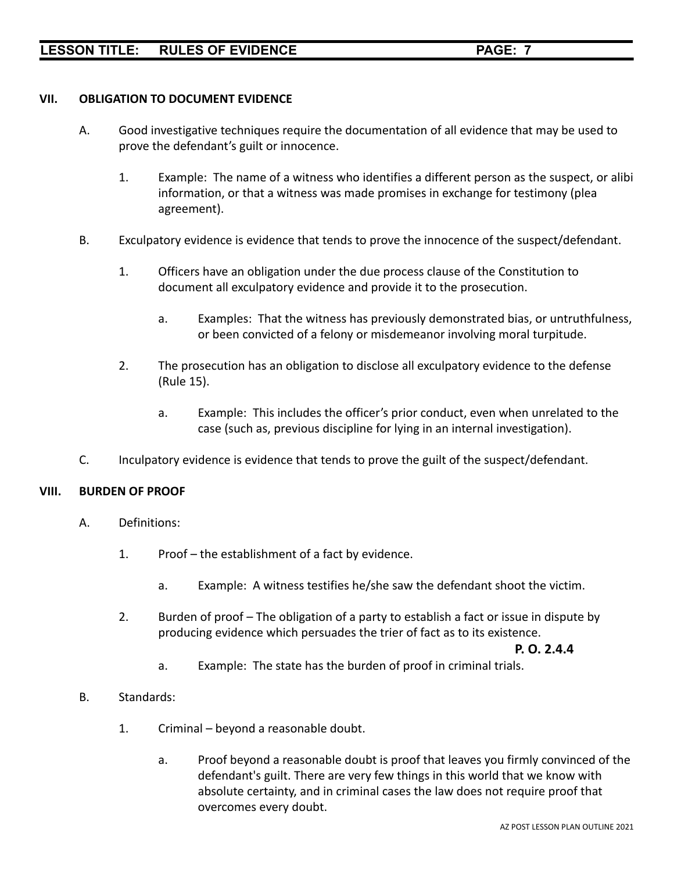## **VII. OBLIGATION TO DOCUMENT EVIDENCE**

- A. Good investigative techniques require the documentation of all evidence that may be used to prove the defendant's guilt or innocence.
	- 1. Example: The name of a witness who identifies a different person as the suspect, or alibi information, or that a witness was made promises in exchange for testimony (plea agreement).
- B. Exculpatory evidence is evidence that tends to prove the innocence of the suspect/defendant.
	- 1. Officers have an obligation under the due process clause of the Constitution to document all exculpatory evidence and provide it to the prosecution.
		- a. Examples: That the witness has previously demonstrated bias, or untruthfulness, or been convicted of a felony or misdemeanor involving moral turpitude.
	- 2. The prosecution has an obligation to disclose all exculpatory evidence to the defense (Rule 15).
		- a. Example: This includes the officer's prior conduct, even when unrelated to the case (such as, previous discipline for lying in an internal investigation).
- C. Inculpatory evidence is evidence that tends to prove the guilt of the suspect/defendant.

## **VIII. BURDEN OF PROOF**

- A. Definitions:
	- 1. Proof the establishment of a fact by evidence.
		- a. Example: A witness testifies he/she saw the defendant shoot the victim.
	- 2. Burden of proof The obligation of a party to establish a fact or issue in dispute by producing evidence which persuades the trier of fact as to its existence.

**P. O. 2.4.4**

- a. Example: The state has the burden of proof in criminal trials.
- B. Standards:
	- 1. Criminal beyond a reasonable doubt.
		- a. Proof beyond a reasonable doubt is proof that leaves you firmly convinced of the defendant's guilt. There are very few things in this world that we know with absolute certainty, and in criminal cases the law does not require proof that overcomes every doubt.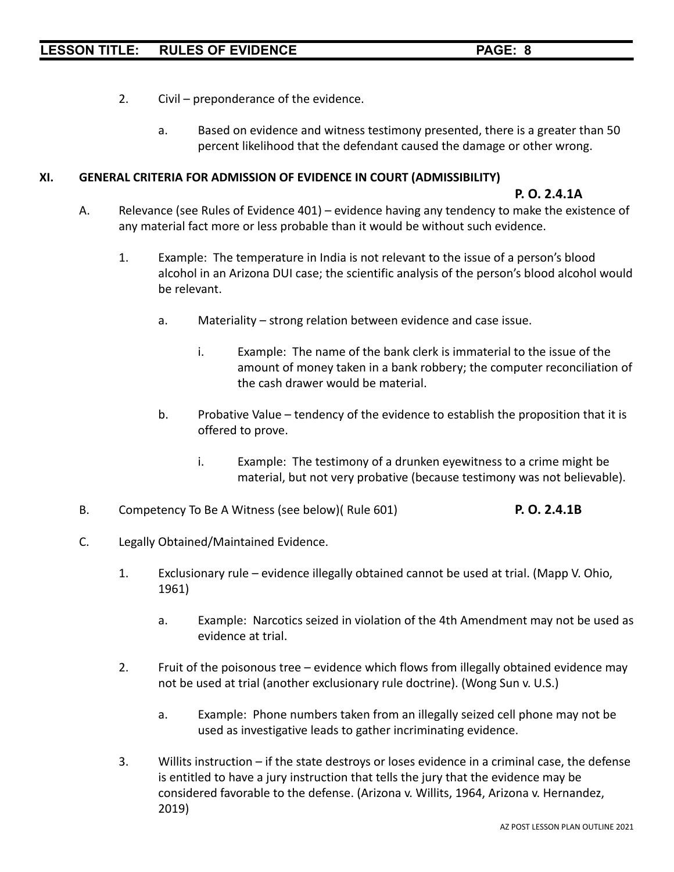- 2. Civil preponderance of the evidence.
	- a. Based on evidence and witness testimony presented, there is a greater than 50 percent likelihood that the defendant caused the damage or other wrong.

#### **XI. GENERAL CRITERIA FOR ADMISSION OF EVIDENCE IN COURT (ADMISSIBILITY)**

# **P. O. 2.4.1A**

- A. Relevance (see Rules of Evidence 401) evidence having any tendency to make the existence of any material fact more or less probable than it would be without such evidence.
	- 1. Example: The temperature in India is not relevant to the issue of a person's blood alcohol in an Arizona DUI case; the scientific analysis of the person's blood alcohol would be relevant.
		- a. Materiality strong relation between evidence and case issue.
			- i. Example: The name of the bank clerk is immaterial to the issue of the amount of money taken in a bank robbery; the computer reconciliation of the cash drawer would be material.
		- b. Probative Value tendency of the evidence to establish the proposition that it is offered to prove.
			- i. Example: The testimony of a drunken eyewitness to a crime might be material, but not very probative (because testimony was not believable).
- B. Competency To Be A Witness (see below)( Rule 601) **P. O. 2.4.1B**
- C. Legally Obtained/Maintained Evidence.
	- 1. Exclusionary rule evidence illegally obtained cannot be used at trial. (Mapp V. Ohio, 1961)
		- a. Example: Narcotics seized in violation of the 4th Amendment may not be used as evidence at trial.
	- 2. Fruit of the poisonous tree evidence which flows from illegally obtained evidence may not be used at trial (another exclusionary rule doctrine). (Wong Sun v. U.S.)
		- a. Example: Phone numbers taken from an illegally seized cell phone may not be used as investigative leads to gather incriminating evidence.
	- 3. Willits instruction if the state destroys or loses evidence in a criminal case, the defense is entitled to have a jury instruction that tells the jury that the evidence may be considered favorable to the defense. (Arizona v. Willits, 1964, Arizona v. Hernandez, 2019)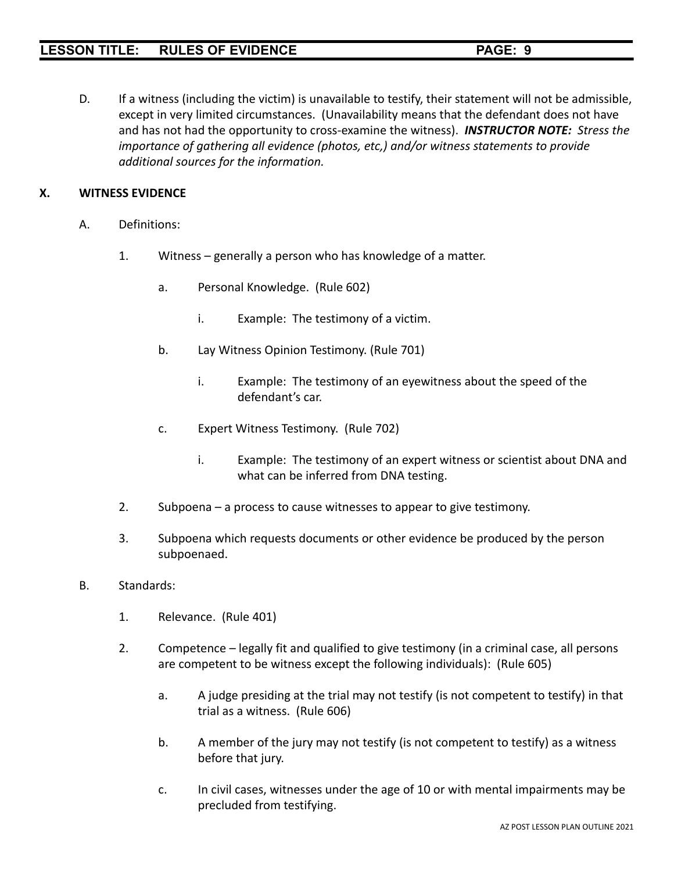D. If a witness (including the victim) is unavailable to testify, their statement will not be admissible, except in very limited circumstances. (Unavailability means that the defendant does not have and has not had the opportunity to cross-examine the witness). *INSTRUCTOR NOTE: Stress the importance of gathering all evidence (photos, etc,) and/or witness statements to provide additional sources for the information.*

# **X. WITNESS EVIDENCE**

- A. Definitions:
	- 1. Witness generally a person who has knowledge of a matter.
		- a. Personal Knowledge. (Rule 602)
			- i. Example: The testimony of a victim.
		- b. Lay Witness Opinion Testimony. (Rule 701)
			- i. Example: The testimony of an eyewitness about the speed of the defendant's car.
		- c. Expert Witness Testimony. (Rule 702)
			- i. Example: The testimony of an expert witness or scientist about DNA and what can be inferred from DNA testing.
	- 2. Subpoena a process to cause witnesses to appear to give testimony.
	- 3. Subpoena which requests documents or other evidence be produced by the person subpoenaed.
- B. Standards:
	- 1. Relevance. (Rule 401)
	- 2. Competence legally fit and qualified to give testimony (in a criminal case, all persons are competent to be witness except the following individuals): (Rule 605)
		- a. A judge presiding at the trial may not testify (is not competent to testify) in that trial as a witness. (Rule 606)
		- b. A member of the jury may not testify (is not competent to testify) as a witness before that jury.
		- c. In civil cases, witnesses under the age of 10 or with mental impairments may be precluded from testifying.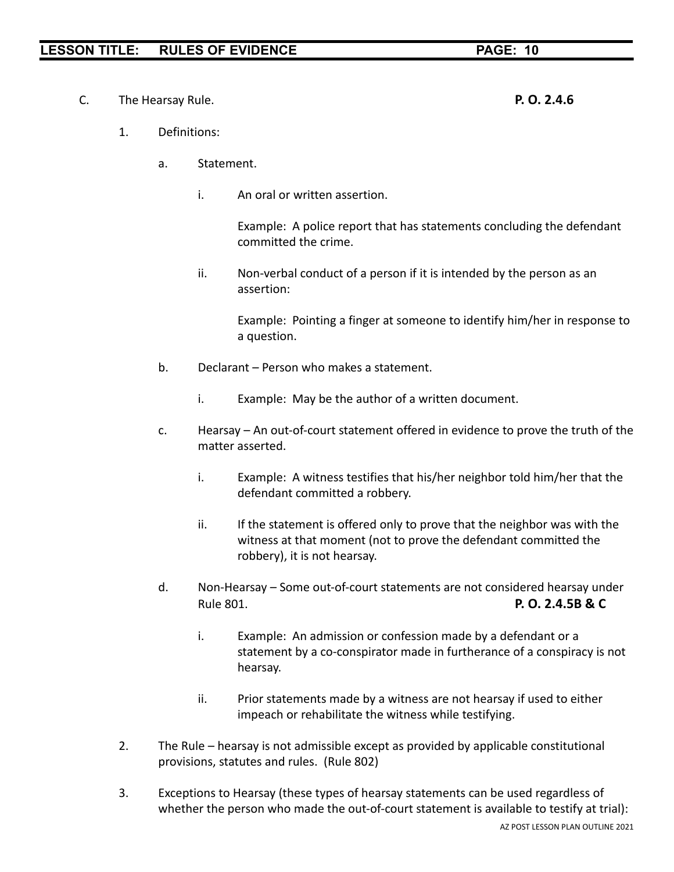C. The Hearsay Rule. **P. O. 2.4.6**

- 1. Definitions:
	- a. Statement.
		- i. An oral or written assertion.

Example: A police report that has statements concluding the defendant committed the crime.

ii. Non-verbal conduct of a person if it is intended by the person as an assertion:

Example: Pointing a finger at someone to identify him/her in response to a question.

- b. Declarant Person who makes a statement.
	- i. Example: May be the author of a written document.
- c. Hearsay An out-of-court statement offered in evidence to prove the truth of the matter asserted.
	- i. Example: A witness testifies that his/her neighbor told him/her that the defendant committed a robbery.
	- ii. If the statement is offered only to prove that the neighbor was with the witness at that moment (not to prove the defendant committed the robbery), it is not hearsay.
- d. Non-Hearsay Some out-of-court statements are not considered hearsay under Rule 801. **P. O. 2.4.5B & C**
	- i. Example: An admission or confession made by a defendant or a statement by a co-conspirator made in furtherance of a conspiracy is not hearsay.
	- ii. Prior statements made by a witness are not hearsay if used to either impeach or rehabilitate the witness while testifying.
- 2. The Rule hearsay is not admissible except as provided by applicable constitutional provisions, statutes and rules. (Rule 802)
- 3. Exceptions to Hearsay (these types of hearsay statements can be used regardless of whether the person who made the out-of-court statement is available to testify at trial):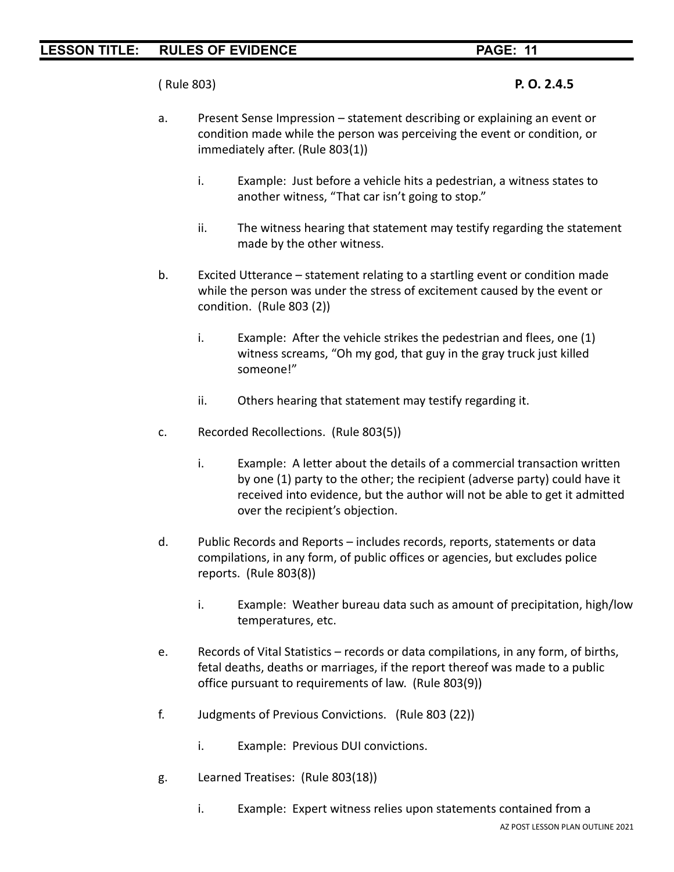( Rule 803) **P. O. 2.4.5**

- a. Present Sense Impression statement describing or explaining an event or condition made while the person was perceiving the event or condition, or immediately after. (Rule 803(1))
	- i. Example: Just before a vehicle hits a pedestrian, a witness states to another witness, "That car isn't going to stop."
	- ii. The witness hearing that statement may testify regarding the statement made by the other witness.
- b. Excited Utterance statement relating to a startling event or condition made while the person was under the stress of excitement caused by the event or condition. (Rule 803 (2))
	- i. Example: After the vehicle strikes the pedestrian and flees, one (1) witness screams, "Oh my god, that guy in the gray truck just killed someone!"
	- ii. Others hearing that statement may testify regarding it.
- c. Recorded Recollections. (Rule 803(5))
	- i. Example: A letter about the details of a commercial transaction written by one (1) party to the other; the recipient (adverse party) could have it received into evidence, but the author will not be able to get it admitted over the recipient's objection.
- d. Public Records and Reports includes records, reports, statements or data compilations, in any form, of public offices or agencies, but excludes police reports. (Rule 803(8))
	- i. Example: Weather bureau data such as amount of precipitation, high/low temperatures, etc.
- e. Records of Vital Statistics records or data compilations, in any form, of births, fetal deaths, deaths or marriages, if the report thereof was made to a public office pursuant to requirements of law. (Rule 803(9))
- f. Judgments of Previous Convictions. (Rule 803 (22))
	- i. Example: Previous DUI convictions.
- g. Learned Treatises: (Rule 803(18))
	- i. Example: Expert witness relies upon statements contained from a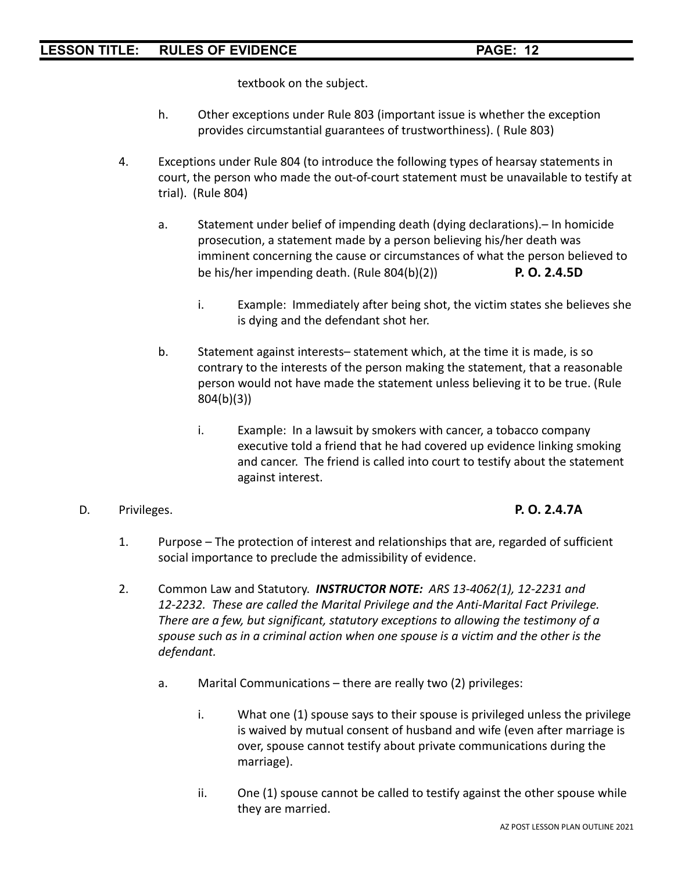textbook on the subject.

- h. Other exceptions under Rule 803 (important issue is whether the exception provides circumstantial guarantees of trustworthiness). ( Rule 803)
- 4. Exceptions under Rule 804 (to introduce the following types of hearsay statements in court, the person who made the out-of-court statement must be unavailable to testify at trial). (Rule 804)
	- a. Statement under belief of impending death (dying declarations).– In homicide prosecution, a statement made by a person believing his/her death was imminent concerning the cause or circumstances of what the person believed to be his/her impending death. (Rule 804(b)(2)) **P. O. 2.4.5D**
		- i. Example: Immediately after being shot, the victim states she believes she is dying and the defendant shot her.
	- b. Statement against interests– statement which, at the time it is made, is so contrary to the interests of the person making the statement, that a reasonable person would not have made the statement unless believing it to be true. (Rule 804(b)(3))
		- i. Example: In a lawsuit by smokers with cancer, a tobacco company executive told a friend that he had covered up evidence linking smoking and cancer. The friend is called into court to testify about the statement against interest.

## D. Privileges. **P. O. 2.4.7A**

- 1. Purpose The protection of interest and relationships that are, regarded of sufficient social importance to preclude the admissibility of evidence.
- 2. Common Law and Statutory. *INSTRUCTOR NOTE: ARS 13-4062(1), 12-2231 and 12-2232. These are called the Marital Privilege and the Anti-Marital Fact Privilege. There are a few, but significant, statutory exceptions to allowing the testimony of a spouse such as in a criminal action when one spouse is a victim and the other is the defendant.*
	- a. Marital Communications there are really two (2) privileges:
		- i. What one (1) spouse says to their spouse is privileged unless the privilege is waived by mutual consent of husband and wife (even after marriage is over, spouse cannot testify about private communications during the marriage).
		- ii. One (1) spouse cannot be called to testify against the other spouse while they are married.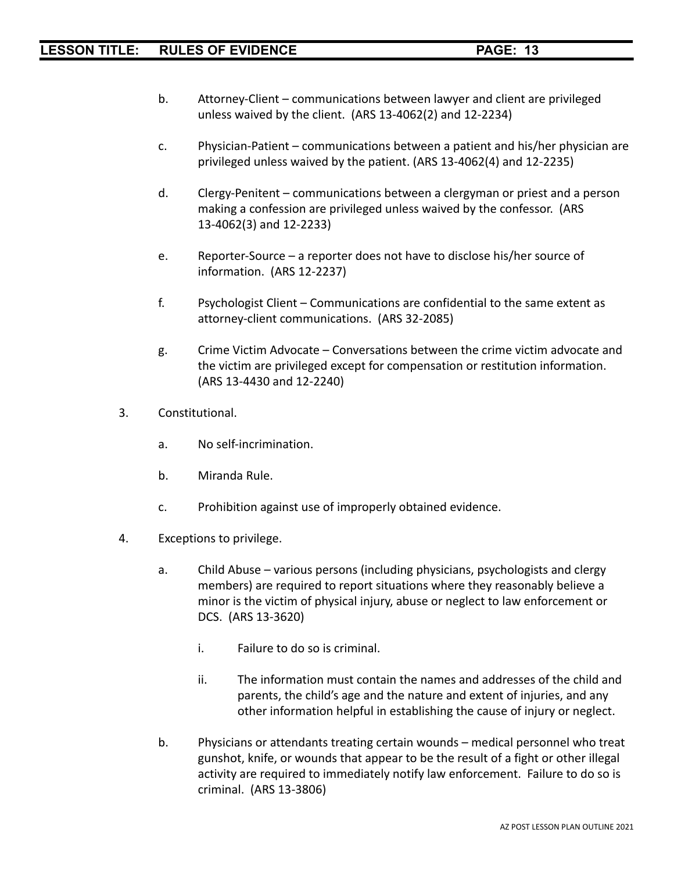- b. Attorney-Client communications between lawyer and client are privileged unless waived by the client. (ARS 13-4062(2) and 12-2234)
- c. Physician-Patient communications between a patient and his/her physician are privileged unless waived by the patient. (ARS 13-4062(4) and 12-2235)
- d. Clergy-Penitent communications between a clergyman or priest and a person making a confession are privileged unless waived by the confessor. (ARS 13-4062(3) and 12-2233)
- e. Reporter-Source a reporter does not have to disclose his/her source of information. (ARS 12-2237)
- f. Psychologist Client Communications are confidential to the same extent as attorney-client communications. (ARS 32-2085)
- g. Crime Victim Advocate Conversations between the crime victim advocate and the victim are privileged except for compensation or restitution information. (ARS 13-4430 and 12-2240)
- 3. Constitutional.
	- a. No self-incrimination.
	- b. Miranda Rule.
	- c. Prohibition against use of improperly obtained evidence.
- 4. Exceptions to privilege.
	- a. Child Abuse various persons (including physicians, psychologists and clergy members) are required to report situations where they reasonably believe a minor is the victim of physical injury, abuse or neglect to law enforcement or DCS. (ARS 13-3620)
		- i. Failure to do so is criminal.
		- ii. The information must contain the names and addresses of the child and parents, the child's age and the nature and extent of injuries, and any other information helpful in establishing the cause of injury or neglect.
	- b. Physicians or attendants treating certain wounds medical personnel who treat gunshot, knife, or wounds that appear to be the result of a fight or other illegal activity are required to immediately notify law enforcement. Failure to do so is criminal. (ARS 13-3806)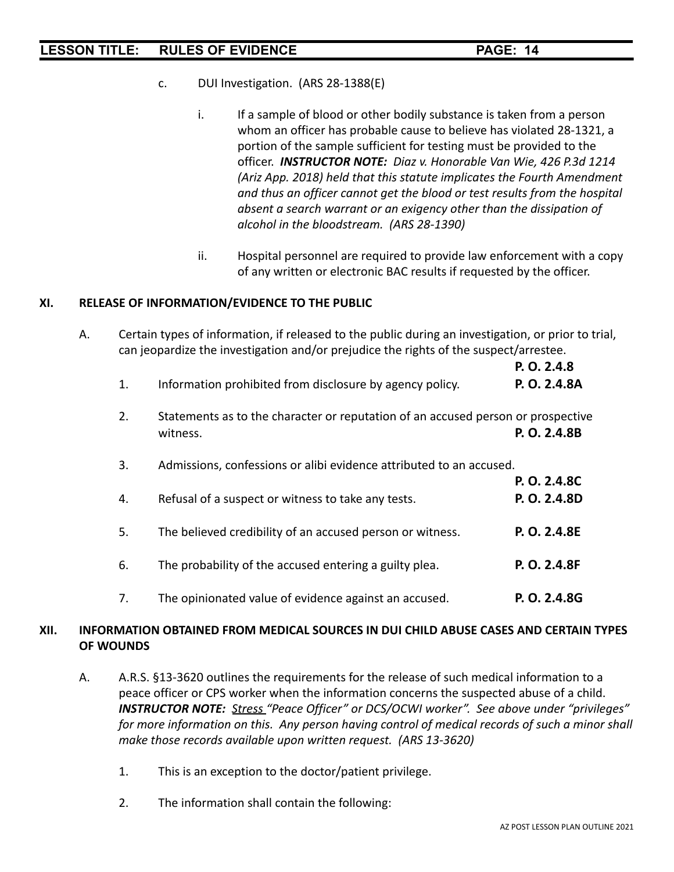- c. DUI Investigation. (ARS 28-1388(E)
	- i. If a sample of blood or other bodily substance is taken from a person whom an officer has probable cause to believe has violated 28-1321, a portion of the sample sufficient for testing must be provided to the officer. *INSTRUCTOR NOTE: Diaz v. Honorable Van Wie, 426 P.3d 1214 (Ariz App. 2018) held that this statute implicates the Fourth Amendment and thus an officer cannot get the blood or test results from the hospital absent a search warrant or an exigency other than the dissipation of alcohol in the bloodstream. (ARS 28-1390)*
	- ii. Hospital personnel are required to provide law enforcement with a copy of any written or electronic BAC results if requested by the officer.

### **XI. RELEASE OF INFORMATION/EVIDENCE TO THE PUBLIC**

A. Certain types of information, if released to the public during an investigation, or prior to trial, can jeopardize the investigation and/or prejudice the rights of the suspect/arrestee.

|    |                                                                                              | P. O. 2.4.8                  |
|----|----------------------------------------------------------------------------------------------|------------------------------|
| 1. | Information prohibited from disclosure by agency policy.                                     | P. O. 2.4.8A                 |
| 2. | Statements as to the character or reputation of an accused person or prospective<br>witness. | P. O. 2.4.8B                 |
| 3. | Admissions, confessions or alibi evidence attributed to an accused.                          |                              |
| 4. | Refusal of a suspect or witness to take any tests.                                           | P. O. 2.4.8C<br>P. O. 2.4.8D |
| 5. | The believed credibility of an accused person or witness.                                    | P. O. 2.4.8E                 |
| 6. | The probability of the accused entering a guilty plea.                                       | P. O. 2.4.8F                 |
| 7. | The opinionated value of evidence against an accused.                                        | P. O. 2.4.8G                 |

## **XII. INFORMATION OBTAINED FROM MEDICAL SOURCES IN DUI CHILD ABUSE CASES AND CERTAIN TYPES OF WOUNDS**

- A. A.R.S. §13-3620 outlines the requirements for the release of such medical information to a peace officer or CPS worker when the information concerns the suspected abuse of a child. *INSTRUCTOR NOTE: Stress "Peace Officer" or DCS/OCWI worker". See above under "privileges" for more information on this. Any person having control of medical records of such a minor shall make those records available upon written request. (ARS 13-3620)*
	- 1. This is an exception to the doctor/patient privilege.
	- 2. The information shall contain the following: